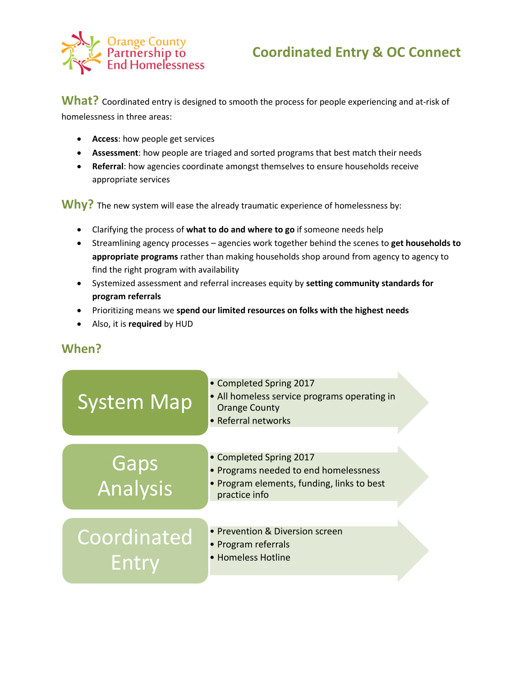

## **Coordinated Entry & OC Connect**

What? Coordinated entry is designed to smooth the process for people experiencing and at-risk of homelessness in three areas:

- **Access**: how people get services
- **Assessment**: how people are triaged and sorted programs that best match their needs
- **Referral**: how agencies coordinate amongst themselves to ensure households receive appropriate services

Why? The new system will ease the already traumatic experience of homelessness by:

- Clarifying the process of **what to do and where to go** if someone needs help
- Streamlining agency processes agencies work together behind the scenes to **get households to appropriate programs** rather than making households shop around from agency to agency to find the right program with availability
- Systemized assessment and referral increases equity by **setting community standards for program referrals**
- Prioritizing means we **spend our limited resources on folks with the highest needs**
- Also, it is **required** by HUD

## **When?**